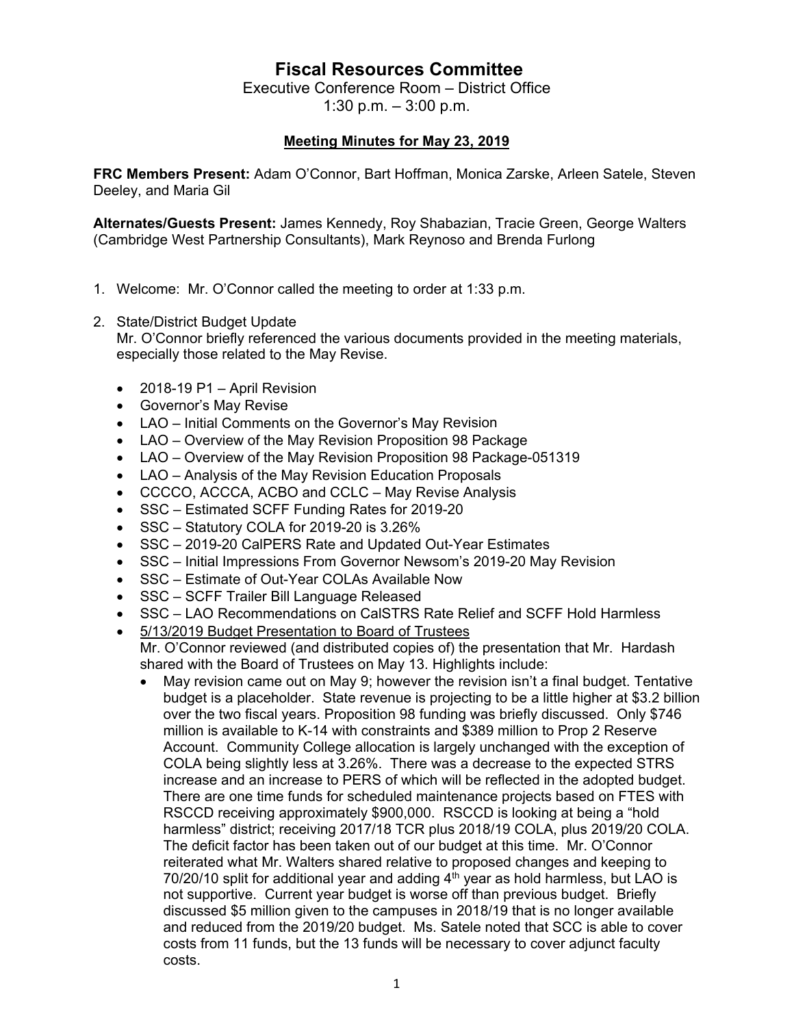## **Fiscal Resources Committee**

Executive Conference Room – District Office 1:30 p.m. – 3:00 p.m.

## **Meeting Minutes for May 23, 2019**

**FRC Members Present:** Adam O'Connor, Bart Hoffman, Monica Zarske, Arleen Satele, Steven Deeley, and Maria Gil

**Alternates/Guests Present:** James Kennedy, Roy Shabazian, Tracie Green, George Walters (Cambridge West Partnership Consultants), Mark Reynoso and Brenda Furlong

- 1. Welcome: Mr. O'Connor called the meeting to order at 1:33 p.m.
- 2. State/District Budget Update

Mr. O'Connor briefly referenced the various documents provided in the meeting materials, especially those related to the May Revise.

- 2018-19 P1 April Revision
- Governor's May Revise
- LAO Initial Comments on the Governor's May Revision
- LAO Overview of the May Revision Proposition 98 Package
- LAO Overview of the May Revision Proposition 98 Package-051319
- LAO Analysis of the May Revision Education Proposals
- CCCCO, ACCCA, ACBO and CCLC May Revise Analysis
- SSC Estimated SCFF Funding Rates for 2019-20
- SSC Statutory COLA for 2019-20 is 3.26%
- SSC 2019-20 CalPERS Rate and Updated Out-Year Estimates
- SSC Initial Impressions From Governor Newsom's 2019-20 May Revision
- SSC Estimate of Out-Year COLAs Available Now
- SSC SCFF Trailer Bill Language Released
- SSC LAO Recommendations on CalSTRS Rate Relief and SCFF Hold Harmless
- 5/13/2019 Budget Presentation to Board of Trustees Mr. O'Connor reviewed (and distributed copies of) the presentation that Mr. Hardash shared with the Board of Trustees on May 13. Highlights include:
	- May revision came out on May 9; however the revision isn't a final budget. Tentative budget is a placeholder. State revenue is projecting to be a little higher at \$3.2 billion over the two fiscal years. Proposition 98 funding was briefly discussed. Only \$746 million is available to K-14 with constraints and \$389 million to Prop 2 Reserve Account. Community College allocation is largely unchanged with the exception of COLA being slightly less at 3.26%. There was a decrease to the expected STRS increase and an increase to PERS of which will be reflected in the adopted budget. There are one time funds for scheduled maintenance projects based on FTES with RSCCD receiving approximately \$900,000. RSCCD is looking at being a "hold harmless" district; receiving 2017/18 TCR plus 2018/19 COLA, plus 2019/20 COLA. The deficit factor has been taken out of our budget at this time. Mr. O'Connor reiterated what Mr. Walters shared relative to proposed changes and keeping to  $70/20/10$  split for additional year and adding  $4<sup>th</sup>$  year as hold harmless, but LAO is not supportive. Current year budget is worse off than previous budget. Briefly discussed \$5 million given to the campuses in 2018/19 that is no longer available and reduced from the 2019/20 budget. Ms. Satele noted that SCC is able to cover costs from 11 funds, but the 13 funds will be necessary to cover adjunct faculty costs.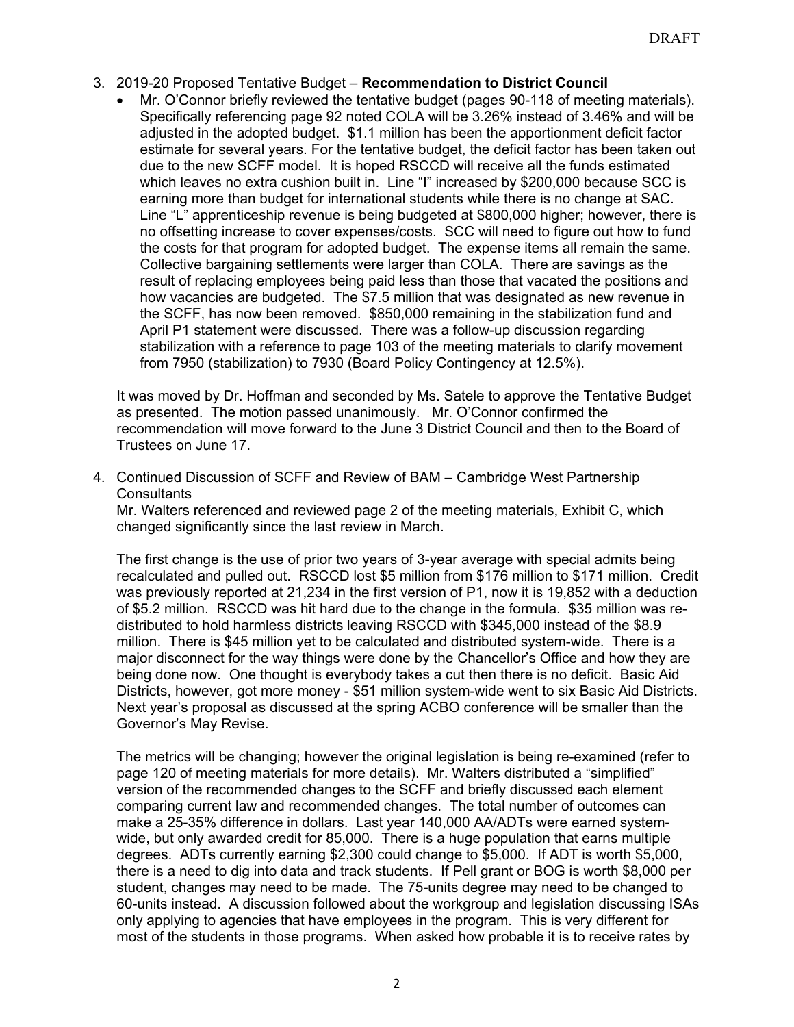- 3. 2019-20 Proposed Tentative Budget **Recommendation to District Council**
	- Mr. O'Connor briefly reviewed the tentative budget (pages 90-118 of meeting materials). Specifically referencing page 92 noted COLA will be 3.26% instead of 3.46% and will be adjusted in the adopted budget. \$1.1 million has been the apportionment deficit factor estimate for several years. For the tentative budget, the deficit factor has been taken out due to the new SCFF model. It is hoped RSCCD will receive all the funds estimated which leaves no extra cushion built in. Line "I" increased by \$200,000 because SCC is earning more than budget for international students while there is no change at SAC. Line "L" apprenticeship revenue is being budgeted at \$800,000 higher; however, there is no offsetting increase to cover expenses/costs. SCC will need to figure out how to fund the costs for that program for adopted budget. The expense items all remain the same. Collective bargaining settlements were larger than COLA. There are savings as the result of replacing employees being paid less than those that vacated the positions and how vacancies are budgeted. The \$7.5 million that was designated as new revenue in the SCFF, has now been removed. \$850,000 remaining in the stabilization fund and April P1 statement were discussed. There was a follow-up discussion regarding stabilization with a reference to page 103 of the meeting materials to clarify movement from 7950 (stabilization) to 7930 (Board Policy Contingency at 12.5%).

It was moved by Dr. Hoffman and seconded by Ms. Satele to approve the Tentative Budget as presented. The motion passed unanimously. Mr. O'Connor confirmed the recommendation will move forward to the June 3 District Council and then to the Board of Trustees on June 17.

4. Continued Discussion of SCFF and Review of BAM – Cambridge West Partnership **Consultants** 

Mr. Walters referenced and reviewed page 2 of the meeting materials, Exhibit C, which changed significantly since the last review in March.

The first change is the use of prior two years of 3-year average with special admits being recalculated and pulled out. RSCCD lost \$5 million from \$176 million to \$171 million. Credit was previously reported at 21,234 in the first version of P1, now it is 19,852 with a deduction of \$5.2 million. RSCCD was hit hard due to the change in the formula. \$35 million was redistributed to hold harmless districts leaving RSCCD with \$345,000 instead of the \$8.9 million. There is \$45 million yet to be calculated and distributed system-wide. There is a major disconnect for the way things were done by the Chancellor's Office and how they are being done now. One thought is everybody takes a cut then there is no deficit. Basic Aid Districts, however, got more money - \$51 million system-wide went to six Basic Aid Districts. Next year's proposal as discussed at the spring ACBO conference will be smaller than the Governor's May Revise.

The metrics will be changing; however the original legislation is being re-examined (refer to page 120 of meeting materials for more details). Mr. Walters distributed a "simplified" version of the recommended changes to the SCFF and briefly discussed each element comparing current law and recommended changes. The total number of outcomes can make a 25-35% difference in dollars. Last year 140,000 AA/ADTs were earned systemwide, but only awarded credit for 85,000. There is a huge population that earns multiple degrees. ADTs currently earning \$2,300 could change to \$5,000. If ADT is worth \$5,000, there is a need to dig into data and track students. If Pell grant or BOG is worth \$8,000 per student, changes may need to be made. The 75-units degree may need to be changed to 60-units instead. A discussion followed about the workgroup and legislation discussing ISAs only applying to agencies that have employees in the program. This is very different for most of the students in those programs. When asked how probable it is to receive rates by